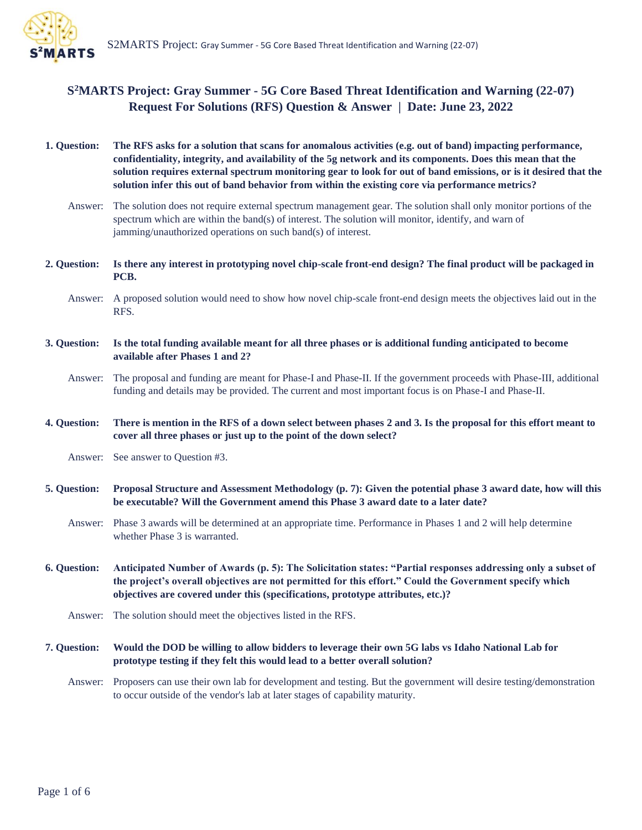

# **S <sup>2</sup>MARTS Project: Gray Summer - 5G Core Based Threat Identification and Warning (22-07) Request For Solutions (RFS) Question & Answer | Date: June 23, 2022**

| 1. Question: | The RFS asks for a solution that scans for anomalous activities (e.g. out of band) impacting performance,<br>confidentiality, integrity, and availability of the 5g network and its components. Does this mean that the<br>solution requires external spectrum monitoring gear to look for out of band emissions, or is it desired that the<br>solution infer this out of band behavior from within the existing core via performance metrics? |
|--------------|------------------------------------------------------------------------------------------------------------------------------------------------------------------------------------------------------------------------------------------------------------------------------------------------------------------------------------------------------------------------------------------------------------------------------------------------|
| Answer:      | The solution does not require external spectrum management gear. The solution shall only monitor portions of the<br>spectrum which are within the band(s) of interest. The solution will monitor, identify, and warn of<br>jamming/unauthorized operations on such band(s) of interest.                                                                                                                                                        |
| 2. Question: | Is there any interest in prototyping novel chip-scale front-end design? The final product will be packaged in<br>PCB.                                                                                                                                                                                                                                                                                                                          |
| Answer:      | A proposed solution would need to show how novel chip-scale front-end design meets the objectives laid out in the<br>RFS.                                                                                                                                                                                                                                                                                                                      |
| 3. Question: | Is the total funding available meant for all three phases or is additional funding anticipated to become<br>available after Phases 1 and 2?                                                                                                                                                                                                                                                                                                    |
| Answer:      | The proposal and funding are meant for Phase-I and Phase-II. If the government proceeds with Phase-III, additional<br>funding and details may be provided. The current and most important focus is on Phase-I and Phase-II.                                                                                                                                                                                                                    |
| 4. Question: | There is mention in the RFS of a down select between phases 2 and 3. Is the proposal for this effort meant to<br>cover all three phases or just up to the point of the down select?                                                                                                                                                                                                                                                            |
| Answer:      | See answer to Question #3.                                                                                                                                                                                                                                                                                                                                                                                                                     |
| 5. Question: | Proposal Structure and Assessment Methodology (p. 7): Given the potential phase 3 award date, how will this<br>be executable? Will the Government amend this Phase 3 award date to a later date?                                                                                                                                                                                                                                               |
| Answer:      | Phase 3 awards will be determined at an appropriate time. Performance in Phases 1 and 2 will help determine<br>whether Phase 3 is warranted.                                                                                                                                                                                                                                                                                                   |
| 6. Question: | Anticipated Number of Awards (p. 5): The Solicitation states: "Partial responses addressing only a subset of<br>the project's overall objectives are not permitted for this effort." Could the Government specify which<br>objectives are covered under this (specifications, prototype attributes, etc.)?                                                                                                                                     |
| Answer:      | The solution should meet the objectives listed in the RFS.                                                                                                                                                                                                                                                                                                                                                                                     |
| 7. Question: | Would the DOD be willing to allow bidders to leverage their own 5G labs vs Idaho National Lab for<br>prototype testing if they felt this would lead to a better overall solution?                                                                                                                                                                                                                                                              |
| Answer:      | Proposers can use their own lab for development and testing. But the government will desire testing/demonstration<br>to occur outside of the vendor's lab at later stages of capability maturity.                                                                                                                                                                                                                                              |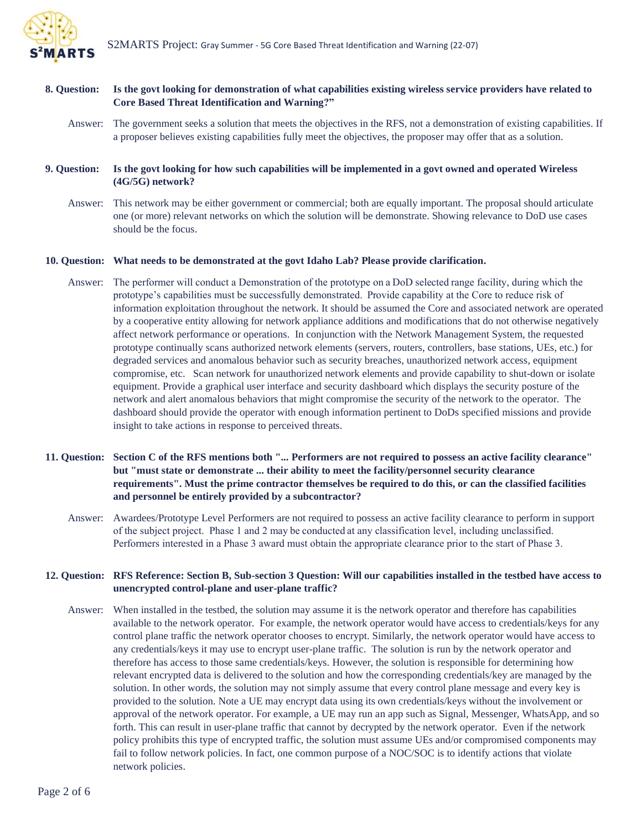

## **8. Question: Is the govt looking for demonstration of what capabilities existing wireless service providers have related to Core Based Threat Identification and Warning?"**

Answer: The government seeks a solution that meets the objectives in the RFS, not a demonstration of existing capabilities. If a proposer believes existing capabilities fully meet the objectives, the proposer may offer that as a solution.

#### **9. Question: Is the govt looking for how such capabilities will be implemented in a govt owned and operated Wireless (4G/5G) network?**

Answer: This network may be either government or commercial; both are equally important. The proposal should articulate one (or more) relevant networks on which the solution will be demonstrate. Showing relevance to DoD use cases should be the focus.

#### **10. Question: What needs to be demonstrated at the govt Idaho Lab? Please provide clarification.**

- Answer: The performer will conduct a Demonstration of the prototype on a DoD selected range facility, during which the prototype's capabilities must be successfully demonstrated.  Provide capability at the Core to reduce risk of information exploitation throughout the network. It should be assumed the Core and associated network are operated by a cooperative entity allowing for network appliance additions and modifications that do not otherwise negatively affect network performance or operations. In conjunction with the Network Management System, the requested prototype continually scans authorized network elements (servers, routers, controllers, base stations, UEs, etc.) for degraded services and anomalous behavior such as security breaches, unauthorized network access, equipment compromise, etc. Scan network for unauthorized network elements and provide capability to shut-down or isolate equipment. Provide a graphical user interface and security dashboard which displays the security posture of the network and alert anomalous behaviors that might compromise the security of the network to the operator. The dashboard should provide the operator with enough information pertinent to DoDs specified missions and provide insight to take actions in response to perceived threats.
- **11. Question: Section C of the RFS mentions both "... Performers are not required to possess an active facility clearance" but "must state or demonstrate ... their ability to meet the facility/personnel security clearance requirements". Must the prime contractor themselves be required to do this, or can the classified facilities and personnel be entirely provided by a subcontractor?** 
	- Answer: Awardees/Prototype Level Performers are not required to possess an active facility clearance to perform in support of the subject project. Phase 1 and 2 may be conducted at any classification level, including unclassified.  Performers interested in a Phase 3 award must obtain the appropriate clearance prior to the start of Phase 3.

### **12. Question: RFS Reference: Section B, Sub-section 3 Question: Will our capabilities installed in the testbed have access to unencrypted control-plane and user-plane traffic?**

Answer: When installed in the testbed, the solution may assume it is the network operator and therefore has capabilities available to the network operator. For example, the network operator would have access to credentials/keys for any control plane traffic the network operator chooses to encrypt. Similarly, the network operator would have access to any credentials/keys it may use to encrypt user-plane traffic. The solution is run by the network operator and therefore has access to those same credentials/keys. However, the solution is responsible for determining how relevant encrypted data is delivered to the solution and how the corresponding credentials/key are managed by the solution. In other words, the solution may not simply assume that every control plane message and every key is provided to the solution. Note a UE may encrypt data using its own credentials/keys without the involvement or approval of the network operator. For example, a UE may run an app such as Signal, Messenger, WhatsApp, and so forth. This can result in user-plane traffic that cannot by decrypted by the network operator. Even if the network policy prohibits this type of encrypted traffic, the solution must assume UEs and/or compromised components may fail to follow network policies. In fact, one common purpose of a NOC/SOC is to identify actions that violate network policies.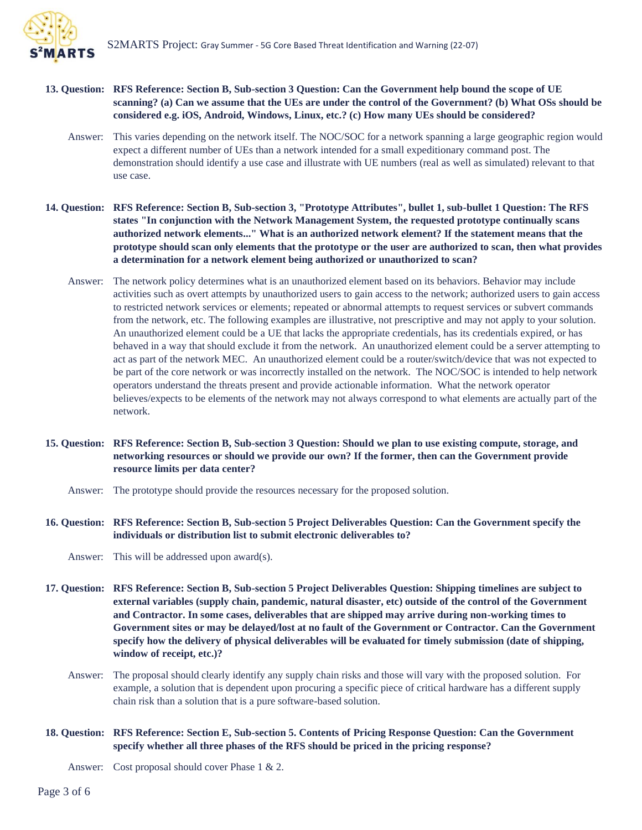

- **13. Question: RFS Reference: Section B, Sub-section 3 Question: Can the Government help bound the scope of UE scanning? (a) Can we assume that the UEs are under the control of the Government? (b) What OSs should be considered e.g. iOS, Android, Windows, Linux, etc.? (c) How many UEs should be considered?** 
	- Answer: This varies depending on the network itself. The NOC/SOC for a network spanning a large geographic region would expect a different number of UEs than a network intended for a small expeditionary command post. The demonstration should identify a use case and illustrate with UE numbers (real as well as simulated) relevant to that use case.
- **14. Question: RFS Reference: Section B, Sub-section 3, "Prototype Attributes", bullet 1, sub-bullet 1 Question: The RFS states "In conjunction with the Network Management System, the requested prototype continually scans authorized network elements..." What is an authorized network element? If the statement means that the prototype should scan only elements that the prototype or the user are authorized to scan, then what provides a determination for a network element being authorized or unauthorized to scan?** 
	- Answer: The network policy determines what is an unauthorized element based on its behaviors. Behavior may include activities such as overt attempts by unauthorized users to gain access to the network; authorized users to gain access to restricted network services or elements; repeated or abnormal attempts to request services or subvert commands from the network, etc. The following examples are illustrative, not prescriptive and may not apply to your solution. An unauthorized element could be a UE that lacks the appropriate credentials, has its credentials expired, or has behaved in a way that should exclude it from the network. An unauthorized element could be a server attempting to act as part of the network MEC. An unauthorized element could be a router/switch/device that was not expected to be part of the core network or was incorrectly installed on the network. The NOC/SOC is intended to help network operators understand the threats present and provide actionable information. What the network operator believes/expects to be elements of the network may not always correspond to what elements are actually part of the network.
- **15. Question: RFS Reference: Section B, Sub-section 3 Question: Should we plan to use existing compute, storage, and networking resources or should we provide our own? If the former, then can the Government provide resource limits per data center?** 
	- Answer: The prototype should provide the resources necessary for the proposed solution.
- **16. Question: RFS Reference: Section B, Sub-section 5 Project Deliverables Question: Can the Government specify the individuals or distribution list to submit electronic deliverables to?**

Answer: This will be addressed upon award(s).

- **17. Question: RFS Reference: Section B, Sub-section 5 Project Deliverables Question: Shipping timelines are subject to external variables (supply chain, pandemic, natural disaster, etc) outside of the control of the Government and Contractor. In some cases, deliverables that are shipped may arrive during non-working times to Government sites or may be delayed/lost at no fault of the Government or Contractor. Can the Government specify how the delivery of physical deliverables will be evaluated for timely submission (date of shipping, window of receipt, etc.)?** 
	- Answer: The proposal should clearly identify any supply chain risks and those will vary with the proposed solution. For example, a solution that is dependent upon procuring a specific piece of critical hardware has a different supply chain risk than a solution that is a pure software-based solution.
- **18. Question: RFS Reference: Section E, Sub-section 5. Contents of Pricing Response Question: Can the Government specify whether all three phases of the RFS should be priced in the pricing response?**

Answer: Cost proposal should cover Phase 1 & 2.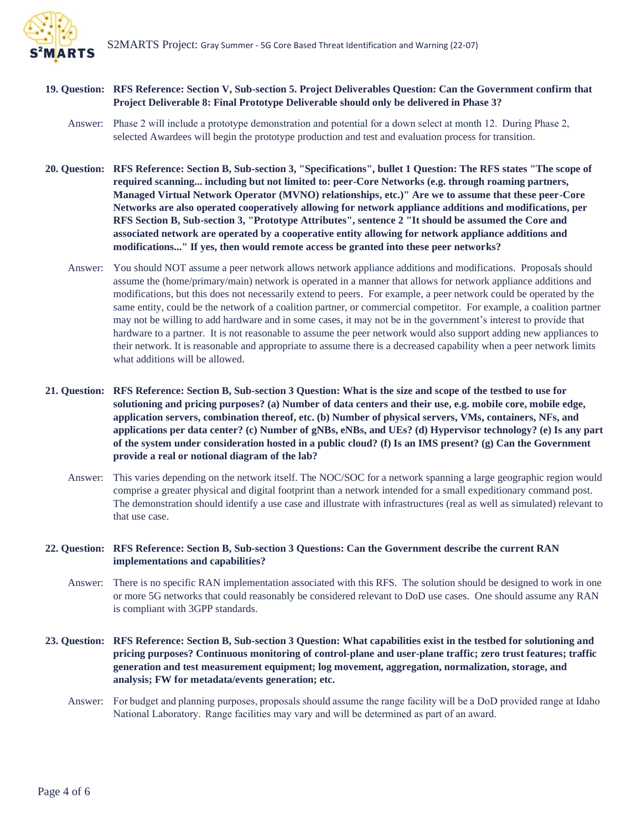

# **19. Question: RFS Reference: Section V, Sub-section 5. Project Deliverables Question: Can the Government confirm that Project Deliverable 8: Final Prototype Deliverable should only be delivered in Phase 3?**

- Answer: Phase 2 will include a prototype demonstration and potential for a down select at month 12.  During Phase 2, selected Awardees will begin the prototype production and test and evaluation process for transition.
- **20. Question: RFS Reference: Section B, Sub-section 3, "Specifications", bullet 1 Question: The RFS states "The scope of required scanning... including but not limited to: peer-Core Networks (e.g. through roaming partners, Managed Virtual Network Operator (MVNO) relationships, etc.)" Are we to assume that these peer-Core Networks are also operated cooperatively allowing for network appliance additions and modifications, per RFS Section B, Sub-section 3, "Prototype Attributes", sentence 2 "It should be assumed the Core and associated network are operated by a cooperative entity allowing for network appliance additions and modifications..." If yes, then would remote access be granted into these peer networks?**
	- Answer: You should NOT assume a peer network allows network appliance additions and modifications. Proposals should assume the (home/primary/main) network is operated in a manner that allows for network appliance additions and modifications, but this does not necessarily extend to peers. For example, a peer network could be operated by the same entity, could be the network of a coalition partner, or commercial competitor. For example, a coalition partner may not be willing to add hardware and in some cases, it may not be in the government's interest to provide that hardware to a partner. It is not reasonable to assume the peer network would also support adding new appliances to their network. It is reasonable and appropriate to assume there is a decreased capability when a peer network limits what additions will be allowed.
- **21. Question: RFS Reference: Section B, Sub-section 3 Question: What is the size and scope of the testbed to use for solutioning and pricing purposes? (a) Number of data centers and their use, e.g. mobile core, mobile edge, application servers, combination thereof, etc. (b) Number of physical servers, VMs, containers, NFs, and applications per data center? (c) Number of gNBs, eNBs, and UEs? (d) Hypervisor technology? (e) Is any part of the system under consideration hosted in a public cloud? (f) Is an IMS present? (g) Can the Government provide a real or notional diagram of the lab?**
	- Answer: This varies depending on the network itself. The NOC/SOC for a network spanning a large geographic region would comprise a greater physical and digital footprint than a network intended for a small expeditionary command post. The demonstration should identify a use case and illustrate with infrastructures (real as well as simulated) relevant to that use case.

# **22. Question: RFS Reference: Section B, Sub-section 3 Questions: Can the Government describe the current RAN implementations and capabilities?**

- Answer: There is no specific RAN implementation associated with this RFS. The solution should be designed to work in one or more 5G networks that could reasonably be considered relevant to DoD use cases. One should assume any RAN is compliant with 3GPP standards.
- **23. Question: RFS Reference: Section B, Sub-section 3 Question: What capabilities exist in the testbed for solutioning and pricing purposes? Continuous monitoring of control-plane and user-plane traffic; zero trust features; traffic generation and test measurement equipment; log movement, aggregation, normalization, storage, and analysis; FW for metadata/events generation; etc.**
	- Answer: For budget and planning purposes, proposals should assume the range facility will be a DoD provided range at Idaho National Laboratory.  Range facilities may vary and will be determined as part of an award.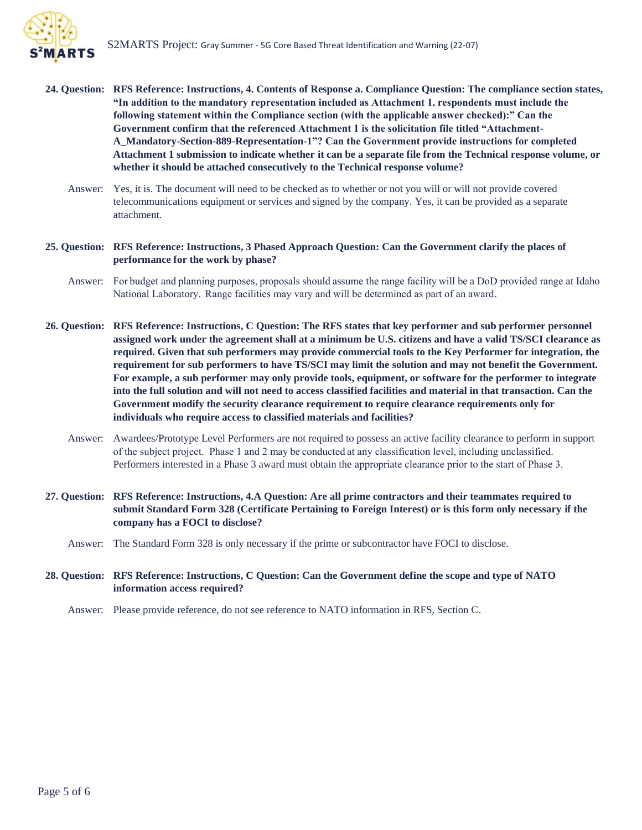

- **24. Question: RFS Reference: Instructions, 4. Contents of Response a. Compliance Question: The compliance section states, "In addition to the mandatory representation included as Attachment 1, respondents must include the following statement within the Compliance section (with the applicable answer checked):" Can the Government confirm that the referenced Attachment 1 is the solicitation file titled "Attachment-A\_Mandatory-Section-889-Representation-1"? Can the Government provide instructions for completed Attachment 1 submission to indicate whether it can be a separate file from the Technical response volume, or whether it should be attached consecutively to the Technical response volume?**
	- Answer: Yes, it is. The document will need to be checked as to whether or not you will or will not provide covered telecommunications equipment or services and signed by the company. Yes, it can be provided as a separate attachment.
- **25. Question: RFS Reference: Instructions, 3 Phased Approach Question: Can the Government clarify the places of performance for the work by phase?**
	- Answer: For budget and planning purposes, proposals should assume the range facility will be a DoD provided range at Idaho National Laboratory.  Range facilities may vary and will be determined as part of an award.
- **26. Question: RFS Reference: Instructions, C Question: The RFS states that key performer and sub performer personnel assigned work under the agreement shall at a minimum be U.S. citizens and have a valid TS/SCI clearance as required. Given that sub performers may provide commercial tools to the Key Performer for integration, the requirement for sub performers to have TS/SCI may limit the solution and may not benefit the Government. For example, a sub performer may only provide tools, equipment, or software for the performer to integrate into the full solution and will not need to access classified facilities and material in that transaction. Can the Government modify the security clearance requirement to require clearance requirements only for individuals who require access to classified materials and facilities?**
	- Answer: Awardees/Prototype Level Performers are not required to possess an active facility clearance to perform in support of the subject project. Phase 1 and 2 may be conducted at any classification level, including unclassified.  Performers interested in a Phase 3 award must obtain the appropriate clearance prior to the start of Phase 3.
- **27. Question: RFS Reference: Instructions, 4.A Question: Are all prime contractors and their teammates required to submit Standard Form 328 (Certificate Pertaining to Foreign Interest) or is this form only necessary if the company has a FOCI to disclose?**
	- Answer: The Standard Form 328 is only necessary if the prime or subcontractor have FOCI to disclose.

### **28. Question: RFS Reference: Instructions, C Question: Can the Government define the scope and type of NATO information access required?**

Answer: Please provide reference, do not see reference to NATO information in RFS, Section C.